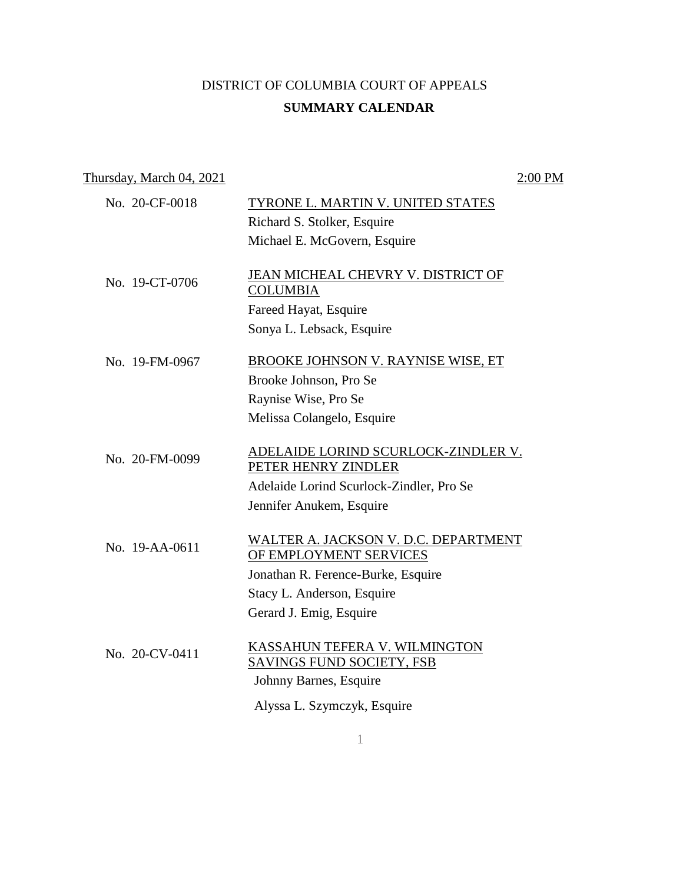## DISTRICT OF COLUMBIA COURT OF APPEALS **SUMMARY CALENDAR**

| Thursday, March 04, 2021 |                                                                                      | 2:00 PM |
|--------------------------|--------------------------------------------------------------------------------------|---------|
| No. 20-CF-0018           | TYRONE L. MARTIN V. UNITED STATES                                                    |         |
|                          | Richard S. Stolker, Esquire                                                          |         |
|                          | Michael E. McGovern, Esquire                                                         |         |
| No. 19-CT-0706           | JEAN MICHEAL CHEVRY V. DISTRICT OF<br><b>COLUMBIA</b>                                |         |
|                          | Fareed Hayat, Esquire                                                                |         |
|                          | Sonya L. Lebsack, Esquire                                                            |         |
| No. 19-FM-0967           | <b>BROOKE JOHNSON V. RAYNISE WISE, ET</b>                                            |         |
|                          | Brooke Johnson, Pro Se                                                               |         |
|                          | Raynise Wise, Pro Se                                                                 |         |
|                          | Melissa Colangelo, Esquire                                                           |         |
| No. 20-FM-0099           | ADELAIDE LORIND SCURLOCK-ZINDLER V.<br>PETER HENRY ZINDLER                           |         |
|                          | Adelaide Lorind Scurlock-Zindler, Pro Se                                             |         |
|                          | Jennifer Anukem, Esquire                                                             |         |
| No. 19-AA-0611           | WALTER A. JACKSON V. D.C. DEPARTMENT<br>OF EMPLOYMENT SERVICES                       |         |
|                          | Jonathan R. Ference-Burke, Esquire                                                   |         |
|                          | Stacy L. Anderson, Esquire                                                           |         |
|                          | Gerard J. Emig, Esquire                                                              |         |
| No. 20-CV-0411           | KASSAHUN TEFERA V. WILMINGTON<br>SAVINGS FUND SOCIETY, FSB<br>Johnny Barnes, Esquire |         |
|                          | Alyssa L. Szymczyk, Esquire                                                          |         |
|                          |                                                                                      |         |

1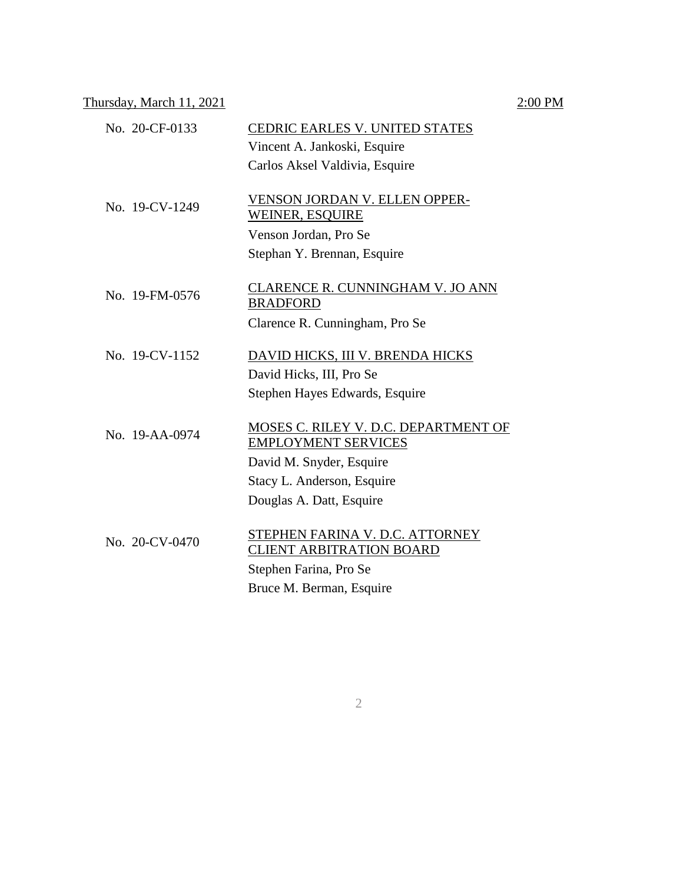### Thursday, March 11, 2021  $2:00 \text{ PM}$

## No. 20-CF-0133 CEDRIC EARLES V. UNITED STATES Vincent A. Jankoski, Esquire Carlos Aksel Valdivia, Esquire No. 19-CV-1249 VENSON JORDAN V. ELLEN OPPER-WEINER, ESQUIRE Venson Jordan, Pro Se Stephan Y. Brennan, Esquire No. 19-FM-0576 CLARENCE R. CUNNINGHAM V. JO ANN BRADFORD Clarence R. Cunningham, Pro Se No. 19-CV-1152 DAVID HICKS, III V. BRENDA HICKS David Hicks, III, Pro Se Stephen Hayes Edwards, Esquire No. 19-AA-0974 MOSES C. RILEY V. D.C. DEPARTMENT OF EMPLOYMENT SERVICES David M. Snyder, Esquire Stacy L. Anderson, Esquire Douglas A. Datt, Esquire  $\frac{\text{STEPHEN FARNA V. D.C. ATTORN EY}}{\text{STEPHEN FARNA V. D. C. ATTORN EY}}$ CLIENT ARBITRATION BOARD Stephen Farina, Pro Se

Bruce M. Berman, Esquire

### 2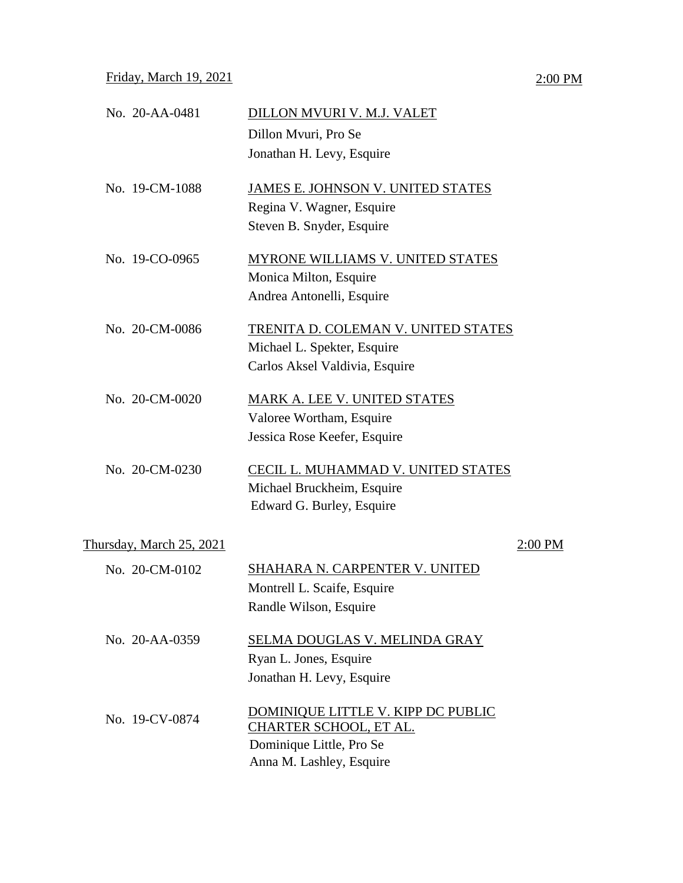# No. 20-AA-0481 DILLON MVURI V. M.J. VALET Dillon Mvuri, Pro Se Jonathan H. Levy, Esquire No. 19-CM-1088 JAMES E. JOHNSON V. UNITED STATES Regina V. Wagner, Esquire Steven B. Snyder, Esquire No. 19-CO-0965 MYRONE WILLIAMS V. UNITED STATES Monica Milton, Esquire Andrea Antonelli, Esquire No. 20-CM-0086 TRENITA D. COLEMAN V. UNITED STATES Michael L. Spekter, Esquire Carlos Aksel Valdivia, Esquire No. 20-CM-0020 MARK A. LEE V. UNITED STATES Valoree Wortham, Esquire Jessica Rose Keefer, Esquire No. 20-CM-0230 CECIL L. MUHAMMAD V. UNITED STATES Michael Bruckheim, Esquire Edward G. Burley, Esquire Thursday, March 25, 2021 2:00 PM No. 20-CM-0102 SHAHARA N. CARPENTER V. UNITED Montrell L. Scaife, Esquire Randle Wilson, Esquire No. 20-AA-0359 SELMA DOUGLAS V. MELINDA GRAY Ryan L. Jones, Esquire Jonathan H. Levy, Esquire No. 19-CV-0874 DOMINIQUE LITTLE V. KIPP DC PUBLIC CHARTER SCHOOL, ET AL. Dominique Little, Pro Se Anna M. Lashley, Esquire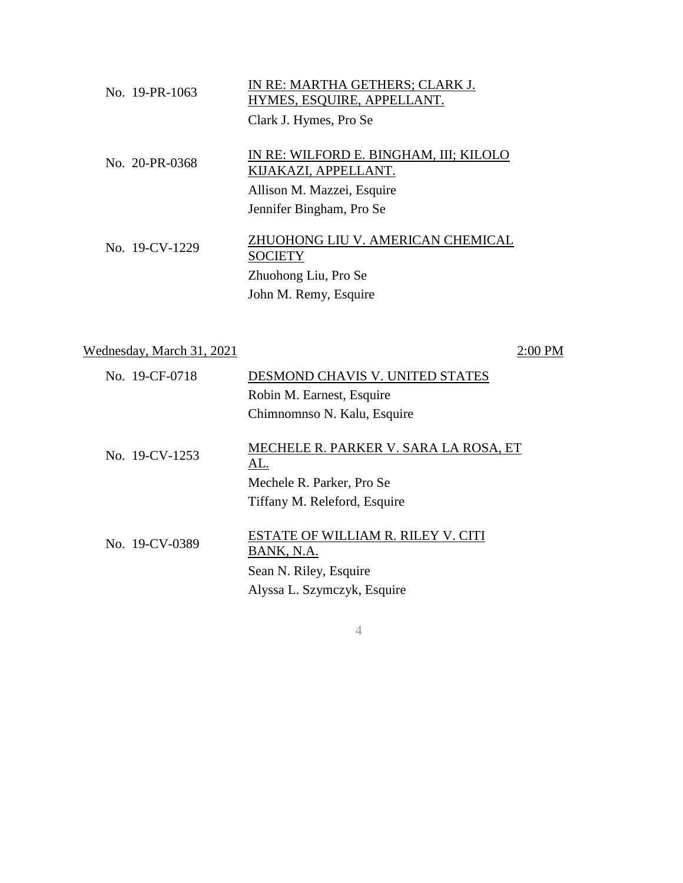| No. 19-PR-1063 | IN RE: MARTHA GETHERS; CLARK J.<br>HYMES, ESQUIRE, APPELLANT.  |
|----------------|----------------------------------------------------------------|
|                | Clark J. Hymes, Pro Se                                         |
| No. 20-PR-0368 | IN RE: WILFORD E. BINGHAM, III; KILOLO<br>KIJAKAZI, APPELLANT. |
|                | Allison M. Mazzei, Esquire                                     |
|                | Jennifer Bingham, Pro Se                                       |
| No. 19-CV-1229 | ZHUOHONG LIU V. AMERICAN CHEMICAL<br><b>SOCIETY</b>            |
|                | Zhuohong Liu, Pro Se                                           |
|                | John M. Remy, Esquire                                          |
|                |                                                                |

| Wednesday, March 31, 2021 | 2:00 PM                                          |
|---------------------------|--------------------------------------------------|
| No. 19-CF-0718            | DESMOND CHAVIS V. UNITED STATES                  |
|                           | Robin M. Earnest, Esquire                        |
|                           | Chimnomnso N. Kalu, Esquire                      |
| No. 19-CV-1253            | MECHELE R. PARKER V. SARA LA ROSA, ET<br>AL.     |
|                           | Mechele R. Parker, Pro Se                        |
|                           | Tiffany M. Releford, Esquire                     |
| No. 19-CV-0389            | ESTATE OF WILLIAM R. RILEY V. CITI<br>BANK, N.A. |
|                           | Sean N. Riley, Esquire                           |
|                           | Alyssa L. Szymczyk, Esquire                      |
|                           |                                                  |

4